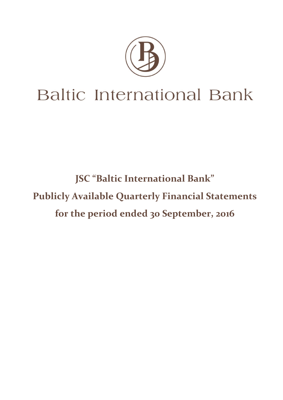

**JSC "Baltic International Bank" Publicly Available Quarterly Financial Statements for the period ended 30 September, 2016**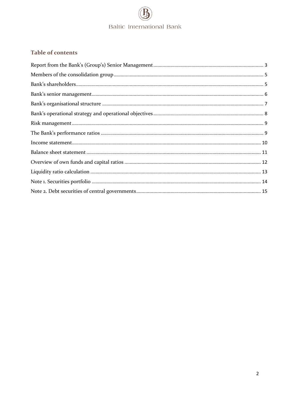## Table of contents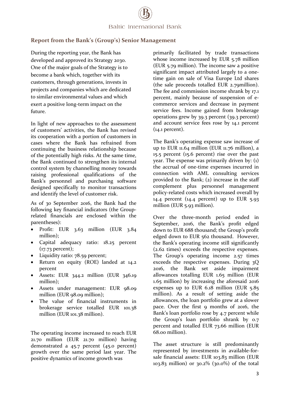#### <span id="page-2-0"></span>**Report from the Bank's (Group's) Senior Management**

During the reporting year, the Bank has developed and approved its Strategy 2030. One of the major goals of the Strategy is to become a bank which, together with its customers, through generations, invests in projects and companies which are dedicated to similar environmental values and which exert a positive long-term impact on the future.

In light of new approaches to the assessment of customers' activities, the Bank has revised its cooperation with a portion of customers in cases where the Bank has refrained from continuing the business relationship because of the potentially high risks. At the same time, the Bank continued to strengthen its internal control system by channelling money towards raising professional qualifications of the Bank's personnel and purchasing software designed specifically to monitor transactions and identify the level of customer risk.

As of 30 September 2016, the Bank had the following key financial indicators (the Grouprelated financials are enclosed within the parentheses):

- Profit: EUR 3.63 million (EUR 3.84) million);
- Capital adequacy ratio: 18.25 percent (17.73 percent);
- Liquidity ratio: 78.59 percent;
- Return on equity (ROE) landed at 14.2 percent
- Assets: EUR 344.2 million (EUR 346.19) million);
- Assets under management: EUR 98.09 million (EUR 98.09 million);
- The value of financial instruments in brokerage service totalled EUR 101.38 million (EUR 101.38 million).

The operating income increased to reach EUR 21.70 million (EUR 21.70 million) having demonstrated a 45.7 percent (45.0 percent) growth over the same period last year. The positive dynamics of income growth was

primarily facilitated by trade transactions whose income increased by EUR 5.78 million (EUR 5.79 million). The income saw a positive significant impact attributed largely to a onetime gain on sale of Visa Europe Ltd shares (the sale proceeds totalled EUR 2.79million). The fee and commission income shrank by 17.1 percent, mainly because of suspension of ecommerce services and decrease in payment service fees. Income gained from brokerage operations grew by 39.3 percent (39.3 percent) and account service fees rose by 14.1 percent (14.1 percent).

The Bank's operating expense saw increase of up to EUR 11.64 million (EUR 11.76 million), a 15.5 percent (15.6 percent) rise over the past year. The expense was primarily driven by: (1) the accrual of one-time expenses incurred in connection with AML consulting services provided to the Bank; (2) increase in the staff complement plus personnel management policy-related costs which increased overall by 14.4 percent (14.4 percent) up to EUR 5.93 million (EUR 5.93 million).

Over the three-month period ended in September, 2016, the Bank's profit edged down to EUR 688 thousand; the Group's profit edged down to EUR 562 thousand. However, the Bank's operating income still significantly (2.62 times) exceeds the respective expenses. The Group's operating income 2.57 times exceeds the respective expenses. During 3Q 2016, the Bank set aside impairment allowances totalling EUR 1.65 million (EUR 1.65 million) by increasing the aforesaid 2016 expenses up to EUR 6.18 million (EUR 5.85 million). As a result of setting aside the allowances, the loan portfolio grew at a slower pace. Over the first 9 months of 2016, the Bank's loan portfolio rose by 4.7 percent while the Group's loan portfolio shrank by 0.7 percent and totalled EUR 73.66 million (EUR 68.00 million).

The asset structure is still predominantly represented by investments in available-forsale financial assets: EUR 103.83 million (EUR 103.83 million) or 30.2% (30.0%) of the total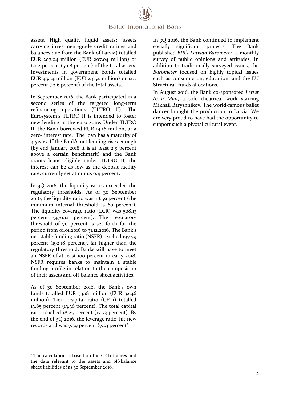assets. High quality liquid assets: (assets carrying investment-grade credit ratings and balances due from the Bank of Latvia) totalled EUR 207.04 million (EUR 207.04 million) or 60.2 percent (59.8 percent) of the total assets. Investments in government bonds totalled EUR 43.54 million (EUR 43.54 million) or 12.7 percent (12.6 percent) of the total assets.

In September 2016, the Bank participated in a second series of the targeted long-term refinancing operations (TLTRO II). The Eurosystem's TLTRO II is intended to foster new lending in the euro zone. Under TLTRO II, the Bank borrowed EUR 14.16 million, at a zero- interest rate. The loan has a maturity of 4 years. If the Bank's net lending rises enough (by end January 2018 it is at least 2.5 percent above a certain benchmark) and the Bank grants loans eligible under TLTRO II, the interest can be as low as the deposit facility rate, currently set at minus 0.4 percent.

In 3Q 2016, the liquidity ratios exceeded the regulatory thresholds. As of 30 September 2016, the liquidity ratio was 78.59 percent (the minimum internal threshold is 60 percent). The liquidity coverage ratio (LCR) was 508.13 percent (470.12 percent). The regulatory threshold of 70 percent is set forth for the period from 01.01.2016 to 31.12.2016. The Bank's net stable funding ratio (NSFR) reached 197.59 percent (192.18 percent), far higher than the regulatory threshold. Banks will have to meet an NSFR of at least 100 percent in early 2018. NSFR requires banks to maintain a stable funding profile in relation to the composition of their assets and off-balance sheet activities.

As of 30 September 2016, the Bank's own funds totalled EUR 33.18 million (EUR 32.46 million). Tier 1 capital ratio (CET1) totalled 13.85 percent (13.36 percent). The total capital ratio reached 18.25 percent (17.73 percent). By the end of  $3Q$  2016, the leverage ratio<sup>1</sup> hit new records and was 7.39 percent (7.23 percent).

 $\overline{a}$ 

In 3Q 2016, the Bank continued to implement socially significant projects. The Bank published *BIB's Latvian Barometer*, a monthly survey of public opinions and attitudes. In addition to traditionally surveyed issues, the *Barometer* focused on highly topical issues such as consumption, education, and the EU Structural Funds allocations.

In August 2016, the Bank co-sponsored *Letter to a Man*, a solo theatrical work starring Mikhail Baryshnikov. The world-famous ballet dancer brought the production to Latvia. We are very proud to have had the opportunity to support such a pivotal cultural event.

<sup>&</sup>lt;sup>1</sup> The calculation is based on the CET1 figures and the data relevant to the assets and off-balance sheet liabilities of as 30 September 2016.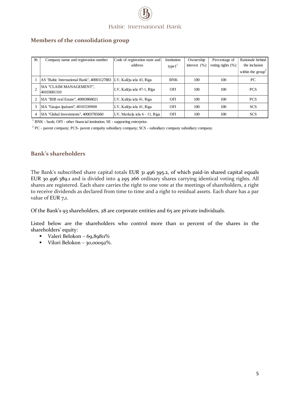#### <span id="page-4-0"></span>**Members of the consolidation group**

| N <sub>2</sub> | Company name and registration number        | Code of registration state and | Institution | Ownership        | Percentage of         | Rationale behind            |
|----------------|---------------------------------------------|--------------------------------|-------------|------------------|-----------------------|-----------------------------|
|                |                                             | address                        | type $11$   | interest $(\% )$ | voting rights $(\% )$ | the inclusion               |
|                |                                             |                                |             |                  |                       | within the $\text{group}^2$ |
|                | AS "Baltic International Bank", 40003127883 | LV, Kalēju iela 43, Riga       | <b>BNK</b>  | 100              | 100                   | PC.                         |
|                | SIA "CLAIM MANAGEMENT",<br>40103681310      | LV, Kalēju iela 47-1, Rīga     | <b>OFI</b>  | 100              | 100                   | <b>PCS</b>                  |
|                | SIA "BIB real Estate", 40003868021          | LV, Kalēju iela 41, Riga       | OFI         | 100              | 100                   | <b>PCS</b>                  |
| 3              | SIA "Gaujas īpašumi", 40103249888           | LV, Kalēju iela 41, Riga       | <b>OFI</b>  | 100              | 100                   | <b>SCS</b>                  |
| 4              | SIA "Global Investments", 40003785660       | LV, Merkela iela 6 - 11, Riga  | OFI         | 100              | 100                   | <b>SCS</b>                  |

<sup>1</sup> BNK - bank; OFI - other financial institution; SE - supporting enterprise.

<span id="page-4-1"></span><sup>2</sup> PC - parent company; PCS- parent compaby subsidiary company; SCS - subsidiary company subsidiary company.

#### **Bank's shareholders**

The Bank's subscribed share capital totals EUR 31 496 395.2, of which paid-in shared capital equals EUR 30 496 389.1 and is divided into 4 295 266 ordinary shares carrying identical voting rights. All shares are registered. Each share carries the right to one vote at the meetings of shareholders, a right to receive dividends as declared from time to time and a right to residual assets. Each share has a par value of EUR 7,1.

Of the Bank's 93 shareholders, 28 are corporate entities and 65 are private individuals.

Listed below are the shareholders who control more than 10 percent of the shares in the shareholders' equity:

- Valeri Belokon 69,89811%
- Vilori Belokon 30,00092%.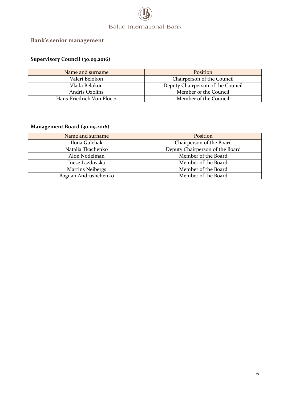

# <span id="page-5-0"></span>**Bank's senior management**

### **Supervisory Council (30.09.2016)**

| Name and surname          | Position                          |
|---------------------------|-----------------------------------|
| Valeri Belokon            | Chairperson of the Council        |
| Vlada Belokon             | Deputy Chairperson of the Council |
| Andris Ozolins            | Member of the Council             |
| Hans-Friedrich Von Ploetz | Member of the Council             |

#### **Management Board (30.09.2016)**

| Name and surname        | Position                        |
|-------------------------|---------------------------------|
| Ilona Gulchak           | Chairperson of the Board        |
| Natalja Tkachenko       | Deputy Chairperson of the Board |
| Alon Nodelman           | Member of the Board             |
| Inese Lazdovska         | Member of the Board             |
| <b>Martins Neibergs</b> | Member of the Board             |
| Bogdan Andrushchenko    | Member of the Board             |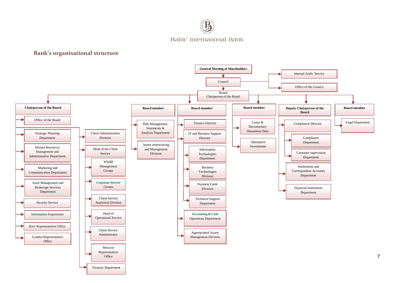

#### **Bank's organisational structure**

<span id="page-6-0"></span>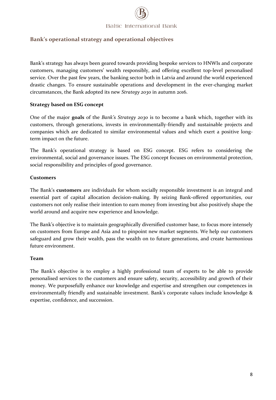#### <span id="page-7-0"></span>**Bank's operational strategy and operational objectives**

Bank's strategy has always been geared towards providing bespoke services to HNWIs and corporate customers, managing customers' wealth responsibly, and offering excellent top-level personalised service. Over the past few years, the banking sector both in Latvia and around the world experienced drastic changes. To ensure sustainable operations and development in the ever-changing market circumstances, the Bank adopted its new *Strategy 2030* in autumn 2016.

#### **Strategy based on ESG concept**

One of the major **goals** of the *Bank's Strategy 2030* is to become a bank which, together with its customers, through generations, invests in environmentally-friendly and sustainable projects and companies which are dedicated to similar environmental values and which exert a positive longterm impact on the future.

The Bank's operational strategy is based on ESG concept. ESG refers to considering the environmental, social and governance issues. The ESG concept focuses on environmental protection, social responsibility and principles of good governance.

#### **Customers**

The Bank's **customers** are individuals for whom socially responsible investment is an integral and essential part of capital allocation decision-making. By seizing Bank-offered opportunities, our customers not only realise their intention to earn money from investing but also positively shape the world around and acquire new experience and knowledge.

The Bank's objective is to maintain geographically diversified customer base, to focus more intensely on customers from Europe and Asia and to pinpoint new market segments. We help our customers safeguard and grow their wealth, pass the wealth on to future generations, and create harmonious future environment.

#### **Team**

The Bank's objective is to employ a highly professional team of experts to be able to provide personalised services to the customers and ensure safety, security, accessibility and growth of their money. We purposefully enhance our knowledge and expertise and strengthen our competences in environmentally friendly and sustainable investment. Bank's corporate values include knowledge & expertise, confidence, and succession.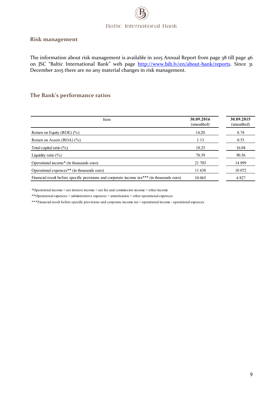#### <span id="page-8-0"></span>**Risk management**

The information about risk management is available in 2015 Annual Report from page 38 till page 46 on JSC "Baltic International Bank" web page [http://www.bib.lv/en/about-bank/reports.](http://www.bib.lv/en/about-bank/reports) Since 31 December 2015 there are no any material changes in risk management.

#### <span id="page-8-1"></span>**The Bank's performance ratios**

| Item                                                                                        | 30.09.2016<br>(unaudited) | 30.09.2015<br>(unaudited) |
|---------------------------------------------------------------------------------------------|---------------------------|---------------------------|
| Return on Equity (ROE) $(\% )$                                                              | 14.20                     | 8.74                      |
| Return on Assets $(ROA)$ $(\%)$                                                             | 1.13                      | 0.53                      |
| Total capital ratio $(\% )$                                                                 | 18.25                     | 16.04                     |
| Liquidity ratio $(\%)$                                                                      | 78.59                     | 90.56                     |
| Operational income* (in thousands euro)                                                     | 21 703                    | 14 899                    |
| Operational expences <sup>**</sup> (in thousands euro)                                      | 11 638                    | 10 072                    |
| Financial result before specific provisions and corporate income tax*** (in thousands euro) | 10 065                    | 4 8 27                    |

\*Operational income = net interest income + net fee and commission income + other income

\*\*Operational expences = administrative expences + amortisation + other operational expences

\*\*\*Financial result before specific provisions and corporate income tax = operational income - operational expences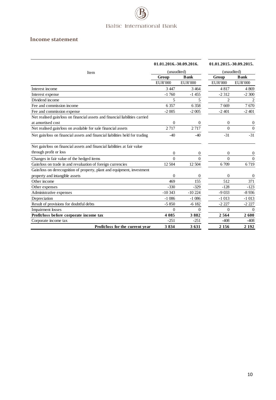#### <span id="page-9-0"></span>**Income statement**

|                                                                              | 01.01.2016.-30.09.2016.<br>(unaudited)<br>Item |                  | 01.01.2015.-30.09.2015. |                |
|------------------------------------------------------------------------------|------------------------------------------------|------------------|-------------------------|----------------|
|                                                                              |                                                |                  | (unaudited)             |                |
|                                                                              | Group                                          | <b>B</b> ank     | Group                   | <b>B</b> ank   |
|                                                                              | <b>EUR'000</b>                                 | <b>EUR'000</b>   | <b>EUR'000</b>          | <b>EUR'000</b> |
| Interest income                                                              | 3 4 4 7                                        | 3 4 6 4          | 4817                    | 4 8 6 9        |
| Interest expense                                                             | $-1760$                                        | $-1455$          | $-2312$                 | $-2300$        |
| Dividend income                                                              | 5                                              | 5                | $\overline{2}$          | 2              |
| Fee and commission income                                                    | 6 3 5 7                                        | 6 3 5 8          | 7669                    | 7670           |
| Fee and commission expense                                                   | $-2005$                                        | $-2005$          | $-2401$                 | $-2401$        |
| Net realised gain/loss on financial assets and financial liabilities carried |                                                |                  |                         |                |
| at amortised cost                                                            | $\Omega$                                       | $\mathbf{0}$     | $\mathbf{0}$            | 0              |
| Net realised gain/loss on available for sale financial assets                | 2717                                           | 2717             | $\Omega$                | $\Omega$       |
| Net gain/loss on financial assets and financial liabilities held for trading | $-40$                                          | $-40$            | $-31$                   | $-31$          |
| Net gain/loss on financial assets and financial liabilities at fair value    |                                                |                  |                         |                |
| through profit or loss                                                       | $\overline{0}$                                 | 0                | $\mathbf{0}$            | 0              |
| Changes in fair value of the hedged items                                    | $\Omega$                                       | $\overline{0}$   | $\Omega$                | $\overline{0}$ |
| Gain/loss on trade in and revaluation of foreign currencies                  | 12 504                                         | 12 504           | 6709                    | 6719           |
| Gain/loss on derecognition of property, plant and equipment, investment      |                                                |                  |                         |                |
| property and intangible assets                                               | $\theta$                                       | 0                | $\Omega$                | $\overline{0}$ |
| Other income                                                                 | 469                                            | 155              | 512                     | 371            |
| Other expenses                                                               | $-330$                                         | $-329$           | $-128$                  | $-123$         |
| Administrative expenses                                                      | $-10343$                                       | $-10224$         | $-9033$                 | $-8936$        |
| Depreciation                                                                 | $-1086$                                        | $-1086$          | $-1013$                 | $-1013$        |
| Result of provisions for doubtful debts                                      | $-5850$                                        | $-6182$          | $-2227$                 | $-2227$        |
| <b>Impairment</b> losses                                                     | $\Omega$                                       | $\boldsymbol{0}$ | $\theta$                | $\Omega$       |
| Profit/loss before corporate income tax                                      | 4 0 8 5                                        | 3882             | 2564                    | 2600           |
| Corporate income tax                                                         | $-251$                                         | $-251$           | $-408$                  | $-408$         |
| Profit/loss for the current year                                             | 3834                                           | 3631             | 2 1 5 6                 | 2 1 9 2        |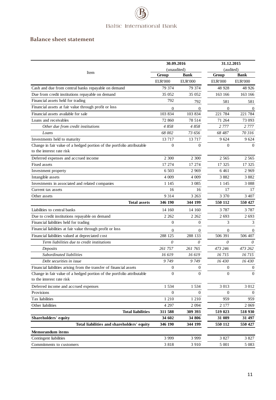#### <span id="page-10-0"></span>**Balance sheet statement**

<span id="page-10-1"></span>

|                                                                                                     | 30.09.2016                          |                  | 31.12.2015<br>(audited) |                  |
|-----------------------------------------------------------------------------------------------------|-------------------------------------|------------------|-------------------------|------------------|
| Item                                                                                                | (unaudited)<br>Group<br><b>Bank</b> |                  | Group                   | Bank             |
|                                                                                                     | <b>EUR'000</b>                      | <b>EUR'000</b>   | <b>EUR'000</b>          | <b>EUR'000</b>   |
| Cash and due from central banks repayable on demand                                                 | 79 374                              | 79 374           | 48 928                  | 48 9 26          |
| Due from credit institutions repayable on demand                                                    | 35 052                              | 35 052           | 163 166                 | 163 166          |
| Financial assets held for trading                                                                   | 792                                 | 792              | 581                     | 581              |
| Financial assets at fair value through profit or loss                                               | $\mathbf{0}$                        | 0                | $\overline{0}$          | $\Omega$         |
| Financial assets available for sale                                                                 | 103 834                             | 103 834          | 221 784                 | 221 784          |
| Loans and receivables                                                                               | 72 860                              | 78 514           | 71 264                  | 73 093           |
| Other due from credit institutions                                                                  | 4858                                | 4858             | 2 7 7 7                 | 2 7 7 7          |
| Loans                                                                                               | 68 002                              | 73 656           | 68 487                  | 70 316           |
| Investments held to maturity                                                                        | 13 7 17                             | 13 7 17          | 9 624                   | 9 6 24           |
| Change in fair value of a hedged portion of the portfolio attributable<br>to the interest rate risk | $\mathbf{0}$                        | $\theta$         | $\theta$                | $\Omega$         |
| Deferred expenses and accrued income                                                                | 2 3 0 0                             | 2 300            | 2 5 6 5                 | 2 5 6 5          |
| Fixed assets                                                                                        | 17 274                              | 17 274           | 17 325                  | 17 325           |
| Investment property                                                                                 | 6.503                               | 2 9 6 9          | 6 4 6 1                 | 2 9 6 9          |
| Intangible assets                                                                                   | 4 0 0 9                             | 4 009            | 3882                    | 3882             |
| Investments in associated and related companies                                                     | 1 1 4 5                             | 3 0 8 5          | 1 1 4 5                 | 3 0 8 8          |
| Current tax assets                                                                                  | 16                                  | 16               | 17                      | 17               |
| Other assets                                                                                        | 9 3 1 4                             | 3 2 6 3          | 3 3 7 0                 | 3 407            |
| <b>Total assets</b>                                                                                 | 346 190                             | 344 199          | 550 112                 | 550 427          |
| Liabilities to central banks                                                                        | 14 160                              | 14 160           | 3 7 8 7                 | 3 7 8 7          |
| Due to credit institutions repayable on demand                                                      | 2 2 6 2                             | 2 2 6 2          | 2 6 9 3                 | 2 6 9 3          |
| Financial liabilities held for trading                                                              | $\mathbf{0}$                        | $\boldsymbol{0}$ | 3                       | 3                |
| Financial liabilities at fair value through profit or loss                                          | $\mathbf{0}$                        | 0                | $\overline{0}$          | $\theta$         |
| Financial liabilities valued at depreciated cost                                                    | 288 125                             | 288 133          | 506 391                 | 506 407          |
| Term liabilities due to credit institutions                                                         | 0                                   | 0                | 0                       | 0                |
| Deposits                                                                                            | 261 757                             | 261 765          | 473 246                 | 473 262          |
| Subordinated liabilities                                                                            | 16 619                              | 16 619           | 16 715                  | 16 715           |
| Debt securities in issue                                                                            | 9749                                | 9749             | 16430                   | 16 430           |
| Financial liabilities arising from the transfer of financial assets                                 | $\boldsymbol{0}$                    | $\boldsymbol{0}$ | $\mathbf{0}$            | $\boldsymbol{0}$ |
| Change in fair value of a hedged portion of the portfolio attributable<br>to the interest rate risk | $\Omega$                            | $\boldsymbol{0}$ | $\theta$                | $\theta$         |
| Deferred income and accrued expenses                                                                | 1 5 3 4                             | 1 5 3 4          | 3 0 1 3                 | 3 0 1 2          |
| Provisions                                                                                          | $\mathbf{0}$                        | 0                | $\mathbf{0}$            | $\overline{0}$   |
| Tax liabilities                                                                                     | 1 2 1 0                             | 1 210            | 959                     | 959              |
| Other liabilities                                                                                   | 4 2 9 7                             | 2 0 9 4          | 2 177                   | 2 0 6 9          |
| <b>Total liabilities</b>                                                                            | 311 588                             | 309 393          | 519 023                 | 518 930          |
| Shareholders' equity                                                                                | 34 602                              | 34 806           | 31 089                  | 31 497           |
| Total liabilities and shareholders' equity                                                          | 346 190                             | 344 199          | 550 112                 | 550 427          |
| Memorandum items                                                                                    |                                     |                  |                         |                  |
| Contingent liabilities                                                                              | 3 9 9 9                             | 3 9 9 9          | 3 8 2 7                 | 3 8 2 7          |
| Commitments to customers                                                                            | 3818                                | 3 9 1 0          | 5 0 0 1                 | 5 0 8 3          |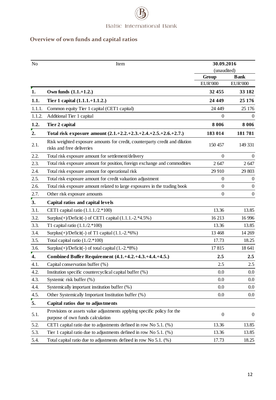# **Overview of own funds and capital ratios**

<span id="page-11-0"></span>

| N <sub>o</sub>   | Item                                                                                                     | 30.09.2016              |                               |  |
|------------------|----------------------------------------------------------------------------------------------------------|-------------------------|-------------------------------|--|
|                  |                                                                                                          | (unaudited)             |                               |  |
|                  |                                                                                                          | Group<br><b>EUR'000</b> | <b>Bank</b><br><b>EUR'000</b> |  |
| 1.               | Own funds $(1.1.+1.2.)$                                                                                  | 32 455                  | 33 182                        |  |
| 1.1.             | Tier 1 capital (1.1.1.+1.1.2.)                                                                           | 24 4 49                 | 25 176                        |  |
|                  | Common equity Tier 1 capital (CET1 capital)                                                              | 24 4 49                 | 25 176                        |  |
| 1.1.1.           |                                                                                                          |                         |                               |  |
| 1.1.2.           | Additional Tier 1 capital                                                                                | $\mathbf{0}$            | $\overline{0}$                |  |
| 1.2.             | Tier 2 capital                                                                                           | 8 0 0 6                 | 8 0 0 6                       |  |
| 2.               | Total risk exposure amount (2.1.+2.2.+2.3.+2.4.+2.5.+2.6.+2.7.)                                          | 183 014                 | 181781                        |  |
| 2.1.             | Risk weighted exposure amounts for credit, counterparty credit and dilution<br>risks and free deliveries | 150 457                 | 149 331                       |  |
| 2.2.             | Total risk exposure amount for settlement/delivery                                                       | $\Omega$                | $\overline{0}$                |  |
| 2.3.             | Total risk exposure amount for position, foreign exchange and commodities                                | 2647                    | 2647                          |  |
| 2.4.             | Total risk exposure amount for operational risk                                                          | 29 910                  | 29 803                        |  |
| 2.5.             | Total risk exposure amount for credit valuation adjustment                                               | $\overline{0}$          | $\theta$                      |  |
| 2.6.             | Total risk exposure amount related to large exposures in the trading book                                | $\mathbf{0}$            | $\boldsymbol{0}$              |  |
| 2.7.             | Other risk exposure amounts                                                                              | $\mathbf{0}$            | $\overline{0}$                |  |
| 3.               | Capital ratios and capital levels                                                                        |                         |                               |  |
| 3.1.             | CET1 capital ratio $(1.1.1./2.*100)$                                                                     | 13.36                   | 13.85                         |  |
| 3.2.             | Surplus $(+)$ /Deficit $(-)$ of CET1 capital $(1.1.1.-2.*4.5%)$                                          | 16 213                  | 16 9 96                       |  |
| 3.3.             | T1 capital ratio $(1.1./2.*100)$                                                                         | 13.36                   | 13.85                         |  |
| 3.4.             | Surplus $(+)$ /Deficit $(-)$ of T1 capital $(1.1.-2.*6%)$                                                | 13 4 68                 | 14 269                        |  |
| 3.5.             | Total capital ratio $(1.2.*100)$                                                                         | 17.73                   | 18.25                         |  |
| 3.6.             | Surplus $(+)$ /Deficit $(-)$ of total capital $(1.-2.*8%)$                                               | 17815                   | 18 641                        |  |
| 4.               | Combined Buffer Requirement (4.1.+4.2.+4.3.+4.4.+4.5.)                                                   | 2.5                     | 2.5                           |  |
| 4.1.             | Capital conservation buffer (%)                                                                          | 2.5                     | 2.5                           |  |
| 4.2.             | Institution specific countercyclical capital buffer (%)                                                  | 0.0                     | $0.0\,$                       |  |
| 4.3.             | Systemic risk buffer (%)                                                                                 | 0.0                     | $0.0\,$                       |  |
| 4.4.             | Systemically important institution buffer (%)                                                            | 0.0                     | 0.0                           |  |
| 4.5.             | Other Systemically Important Institution buffer (%)                                                      | 0.0                     | $0.0\,$                       |  |
| $\overline{5}$ . | Capital ratios due to adjustments                                                                        |                         |                               |  |
|                  | Provisions or assets value adjustments applying specific policy for the                                  |                         |                               |  |
| 5.1.             | purpose of own funds calculation                                                                         | $\boldsymbol{0}$        | $\boldsymbol{0}$              |  |
| 5.2.             | CET1 capital ratio due to adjustments defined in row No 5.1. (%)                                         | 13.36                   | 13.85                         |  |
| 5.3.             | Tier 1 capital ratio due to adjustments defined in row No 5.1. $(\%)$                                    | 13.36                   | 13.85                         |  |
| 5.4.             | Total capital ratio due to adjustments defined in row No 5.1. (%)                                        | 17.73                   | 18.25                         |  |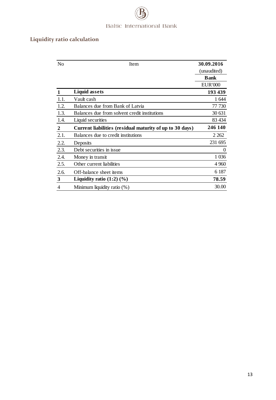# **Liquidity ratio calculation**

| N <sub>0</sub> | Item                                                     | 30.09.2016     |
|----------------|----------------------------------------------------------|----------------|
|                |                                                          | (unaudited)    |
|                |                                                          | <b>Bank</b>    |
|                |                                                          | <b>EUR'000</b> |
|                | <b>Liquid assets</b>                                     | 193 439        |
| 1.1.           | Vault cash                                               | 1644           |
| 1.2.           | Balances due from Bank of Latvia                         | 77 730         |
| 1.3.           | Balances due from solvent credit institutions            | 30 631         |
| 1.4.           | Liquid securities                                        | 83 434         |
| $\overline{2}$ | Current liabilities (residual maturity of up to 30 days) | 246 140        |
| 2.1.           | Balances due to credit institutions                      | 2 2 6 2        |
| 2.2.           | Deposits                                                 | 231 695        |
| 2.3.           | Debt securities in issue                                 | 0              |
| 2.4.           | Money in transit                                         | 1 0 36         |
| 2.5.           | Other current liabilities                                | 4 9 6 0        |
| 2.6.           | Off-balance sheet items                                  | 6 187          |
| $\mathbf{3}$   | Liquidity ratio $(1:2)$ $(\%)$                           | 78.59          |
| 4              | Minimum liquidity ratio (%)                              | 30.00          |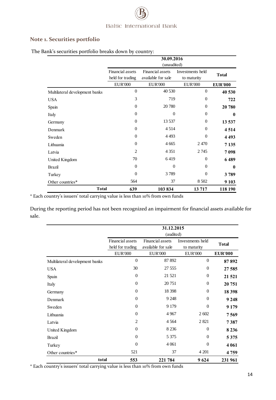#### <span id="page-13-0"></span>**Note 1. Securities portfolio**

|                                |                                      | 30.09.2016<br>(unaudited)              |                                 |                |  |  |
|--------------------------------|--------------------------------------|----------------------------------------|---------------------------------|----------------|--|--|
|                                | Financial assets<br>held for trading | Financial assets<br>available for sale | Investments held<br>to maturity | <b>Total</b>   |  |  |
|                                | <b>EUR'000</b>                       | <b>EUR'000</b>                         | <b>EUR'000</b>                  | <b>EUR'000</b> |  |  |
| Multilateral development banks | $\overline{0}$                       | 40 530                                 | $\theta$                        | 40 530         |  |  |
| <b>USA</b>                     | 3                                    | 719                                    | $\Omega$                        | 722            |  |  |
| Spain                          | $\Omega$                             | 20 780                                 | $\theta$                        | 20 780         |  |  |
| Italy                          | $\Omega$                             | $\theta$                               | $\Omega$                        | 0              |  |  |
| Germany                        | $\Omega$                             | 13 5 37                                | $\theta$                        | 13 537         |  |  |
| Denmark                        | $\theta$                             | 4 5 1 4                                | $\Omega$                        | 4514           |  |  |
| Sweden                         | $\Omega$                             | 4 4 9 3                                | $\Omega$                        | 4 4 9 3        |  |  |
| Lithuania                      | $\Omega$                             | 4 6 6 5                                | 2470                            | 7 1 3 5        |  |  |
| Latvia                         | $\overline{2}$                       | 4 3 5 1                                | 2 7 4 5                         | 7098           |  |  |
| United Kingdom                 | 70                                   | 6419                                   | $\theta$                        | 6489           |  |  |
| <b>Brazil</b>                  | $\Omega$                             | $\theta$                               | $\Omega$                        | 0              |  |  |
| Turkey                         | $\theta$                             | 3789                                   | $\theta$                        | 3789           |  |  |
| Other countries*               | 564                                  | 37                                     | 8 5 0 2                         | 9 1 0 3        |  |  |
| <b>Total</b>                   | 639                                  | 103 834                                | 13717                           | 118 190        |  |  |

The Bank's securities portfolio breaks down by country:

\* Each country's issuers' total carrying value is less than 10% from own funds

During the reporting period has not been recognized an impairment for financial assets available for sale.

|                                | 31.12.2015<br>(audited)              |                                        |                                 |                |
|--------------------------------|--------------------------------------|----------------------------------------|---------------------------------|----------------|
|                                | Financial assets<br>held for trading | Financial assets<br>available for sale | Investments held<br>to maturity | <b>Total</b>   |
|                                | <b>EUR'000</b>                       | <b>EUR'000</b>                         | <b>EUR'000</b>                  | <b>EUR'000</b> |
| Multilateral development banks | $\theta$                             | 87 892                                 | $\mathbf{0}$                    | 87892          |
| <b>USA</b>                     | 30                                   | 27 555                                 | $\mathbf{0}$                    | 27 585         |
| Spain                          | $\overline{0}$                       | 21 521                                 | $\mathbf{0}$                    | 21 5 21        |
| Italy                          | $\boldsymbol{0}$                     | 20751                                  | $\mathbf{0}$                    | 20 751         |
| Germany                        | $\overline{0}$                       | 18 3 98                                | $\overline{0}$                  | 18 398         |
| Denmark                        | $\overline{0}$                       | 9 2 4 8                                | $\overline{0}$                  | 9 2 4 8        |
| Sweden                         | $\overline{0}$                       | 9 1 7 9                                | $\Omega$                        | 9 1 7 9        |
| Lithuania                      | $\overline{0}$                       | 4 9 67                                 | 2 602                           | 7569           |
| Latvia                         | $\overline{2}$                       | 4 5 6 4                                | 2 8 2 1                         | 7387           |
| United Kingdom                 | $\theta$                             | 8 2 3 6                                | $\overline{0}$                  | 8 2 3 6        |
| <b>Brazil</b>                  | $\Omega$                             | 5 3 7 5                                | $\Omega$                        | 5 3 7 5        |
| Turkey                         | $\theta$                             | 4 0 61                                 | $\theta$                        | 4 0 6 1        |
| Other countries*               | 521                                  | 37                                     | 4 2 0 1                         | 4759           |
| total                          | 553                                  | 221 784                                | 9624                            | 231 961        |

\* Each country's issuers' total carrying value is less than 10% from own funds